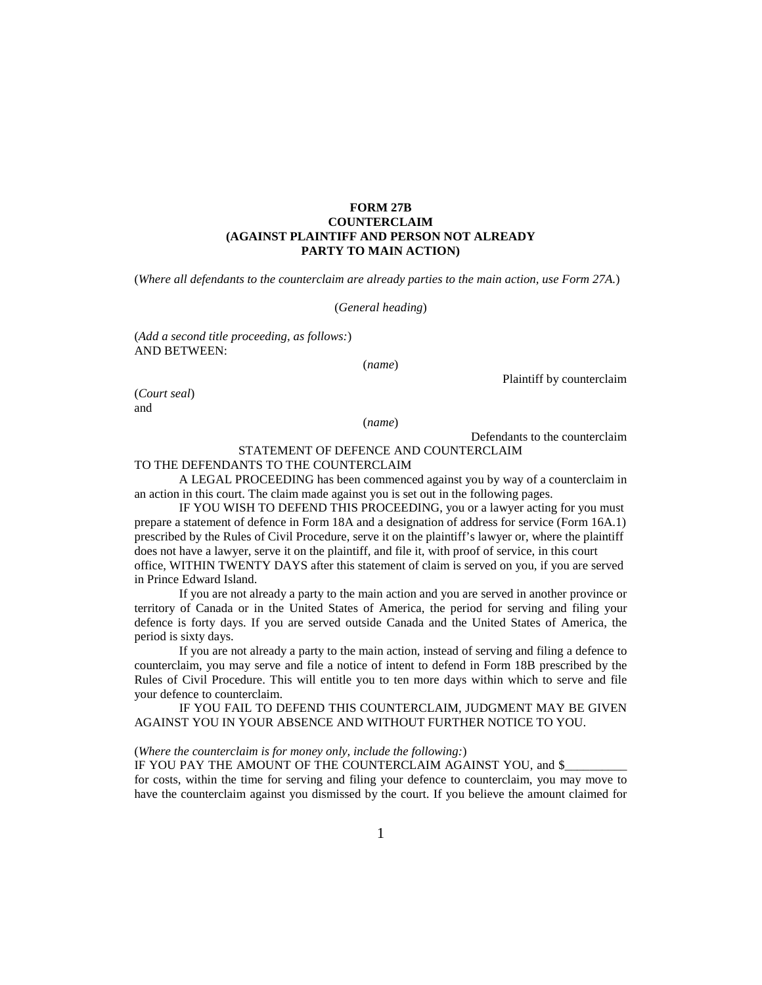## **FORM 27B COUNTERCLAIM (AGAINST PLAINTIFF AND PERSON NOT ALREADY PARTY TO MAIN ACTION)**

(*Where all defendants to the counterclaim are already parties to the main action, use Form 27A.*)

(*General heading*)

(*Add a second title proceeding, as follows:*) AND BETWEEN:

(*name*)

Plaintiff by counterclaim

(*Court seal*) and

(*name*)

Defendants to the counterclaim

## STATEMENT OF DEFENCE AND COUNTERCLAIM

## TO THE DEFENDANTS TO THE COUNTERCLAIM

A LEGAL PROCEEDING has been commenced against you by way of a counterclaim in an action in this court. The claim made against you is set out in the following pages.

IF YOU WISH TO DEFEND THIS PROCEEDING, you or a lawyer acting for you must prepare a statement of defence in Form 18A and a designation of address for service (Form 16A.1) prescribed by the Rules of Civil Procedure, serve it on the plaintiff's lawyer or, where the plaintiff does not have a lawyer, serve it on the plaintiff, and file it, with proof of service, in this court office, WITHIN TWENTY DAYS after this statement of claim is served on you, if you are served in Prince Edward Island.

If you are not already a party to the main action and you are served in another province or territory of Canada or in the United States of America, the period for serving and filing your defence is forty days. If you are served outside Canada and the United States of America, the period is sixty days.

If you are not already a party to the main action, instead of serving and filing a defence to counterclaim, you may serve and file a notice of intent to defend in Form 18B prescribed by the Rules of Civil Procedure. This will entitle you to ten more days within which to serve and file your defence to counterclaim.

IF YOU FAIL TO DEFEND THIS COUNTERCLAIM, JUDGMENT MAY BE GIVEN AGAINST YOU IN YOUR ABSENCE AND WITHOUT FURTHER NOTICE TO YOU.

(*Where the counterclaim is for money only, include the following:*)

IF YOU PAY THE AMOUNT OF THE COUNTERCLAIM AGAINST YOU, and \$

for costs, within the time for serving and filing your defence to counterclaim, you may move to have the counterclaim against you dismissed by the court. If you believe the amount claimed for